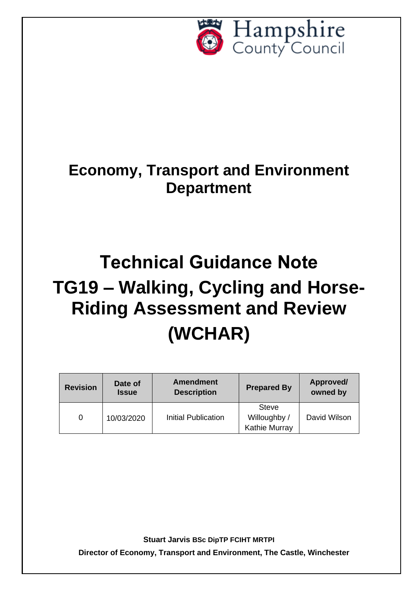

## **Economy, Transport and Environment Department**

# **Technical Guidance Note TG19 – Walking, Cycling and Horse-Riding Assessment and Review (WCHAR)**

| <b>Revision</b> | Date of<br><b>Issue</b> | <b>Amendment</b><br><b>Description</b> | <b>Prepared By</b>                            | Approved/<br>owned by |
|-----------------|-------------------------|----------------------------------------|-----------------------------------------------|-----------------------|
| 0               | 10/03/2020              | <b>Initial Publication</b>             | <b>Steve</b><br>Willoughby /<br>Kathie Murray | David Wilson          |

**Stuart Jarvis BSc DipTP FCIHT MRTPI**

**Director of Economy, Transport and Environment, The Castle, Winchester**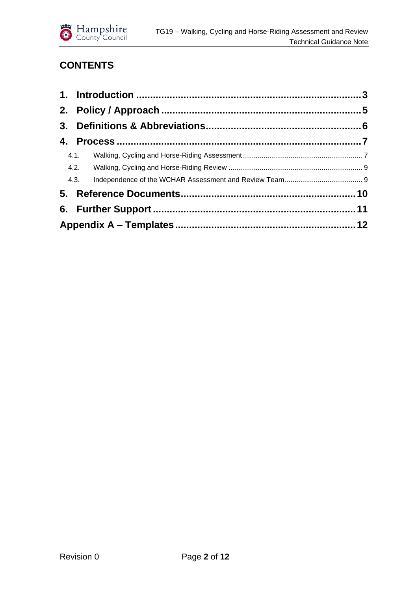

## **CONTENTS**

| 4.1. |  |  |
|------|--|--|
|      |  |  |
|      |  |  |
|      |  |  |
|      |  |  |
|      |  |  |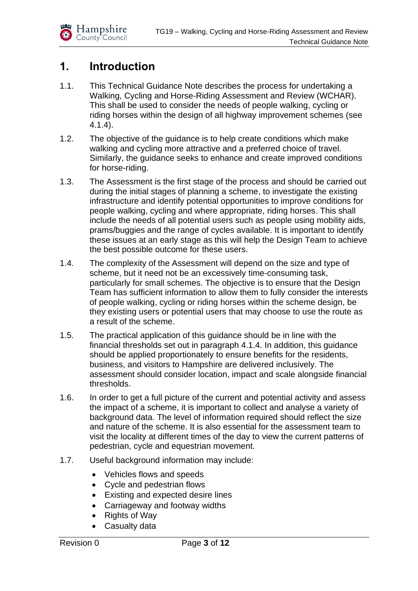

## <span id="page-2-0"></span>**1. Introduction**

- 1.1. This Technical Guidance Note describes the process for undertaking a Walking, Cycling and Horse-Riding Assessment and Review (WCHAR). This shall be used to consider the needs of people walking, cycling or riding horses within the design of all highway improvement schemes (see 4.1.4).
- 1.2. The objective of the guidance is to help create conditions which make walking and cycling more attractive and a preferred choice of travel. Similarly, the guidance seeks to enhance and create improved conditions for horse-riding.
- 1.3. The Assessment is the first stage of the process and should be carried out during the initial stages of planning a scheme, to investigate the existing infrastructure and identify potential opportunities to improve conditions for people walking, cycling and where appropriate, riding horses. This shall include the needs of all potential users such as people using mobility aids, prams/buggies and the range of cycles available. It is important to identify these issues at an early stage as this will help the Design Team to achieve the best possible outcome for these users.
- 1.4. The complexity of the Assessment will depend on the size and type of scheme, but it need not be an excessively time-consuming task, particularly for small schemes. The objective is to ensure that the Design Team has sufficient information to allow them to fully consider the interests of people walking, cycling or riding horses within the scheme design, be they existing users or potential users that may choose to use the route as a result of the scheme.
- 1.5. The practical application of this guidance should be in line with the financial thresholds set out in paragraph 4.1.4. In addition, this guidance should be applied proportionately to ensure benefits for the residents, business, and visitors to Hampshire are delivered inclusively. The assessment should consider location, impact and scale alongside financial thresholds.
- 1.6. In order to get a full picture of the current and potential activity and assess the impact of a scheme, it is important to collect and analyse a variety of background data. The level of information required should reflect the size and nature of the scheme. It is also essential for the assessment team to visit the locality at different times of the day to view the current patterns of pedestrian, cycle and equestrian movement.
- 1.7. Useful background information may include:
	- Vehicles flows and speeds
	- Cycle and pedestrian flows
	- Existing and expected desire lines
	- Carriageway and footway widths
	- Rights of Way
	- Casualty data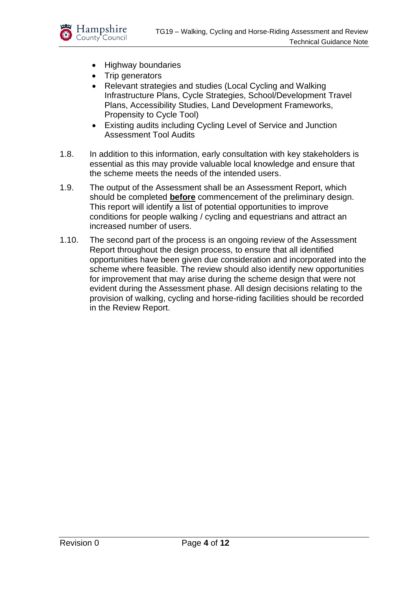

- Highway boundaries
- Trip generators
- Relevant strategies and studies (Local Cycling and Walking Infrastructure Plans, Cycle Strategies, School/Development Travel Plans, Accessibility Studies, Land Development Frameworks, Propensity to Cycle Tool)
- Existing audits including Cycling Level of Service and Junction Assessment Tool Audits
- 1.8. In addition to this information, early consultation with key stakeholders is essential as this may provide valuable local knowledge and ensure that the scheme meets the needs of the intended users.
- 1.9. The output of the Assessment shall be an Assessment Report, which should be completed **before** commencement of the preliminary design. This report will identify a list of potential opportunities to improve conditions for people walking / cycling and equestrians and attract an increased number of users.
- 1.10. The second part of the process is an ongoing review of the Assessment Report throughout the design process, to ensure that all identified opportunities have been given due consideration and incorporated into the scheme where feasible. The review should also identify new opportunities for improvement that may arise during the scheme design that were not evident during the Assessment phase. All design decisions relating to the provision of walking, cycling and horse-riding facilities should be recorded in the Review Report.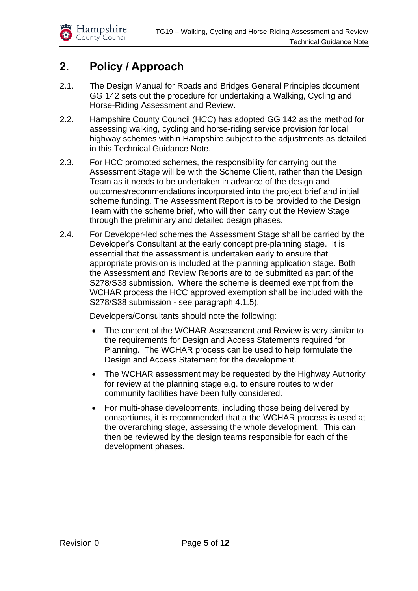

## <span id="page-4-0"></span>**2. Policy / Approach**

- 2.1. The Design Manual for Roads and Bridges General Principles document GG 142 sets out the procedure for undertaking a Walking, Cycling and Horse-Riding Assessment and Review.
- 2.2. Hampshire County Council (HCC) has adopted GG 142 as the method for assessing walking, cycling and horse-riding service provision for local highway schemes within Hampshire subject to the adjustments as detailed in this Technical Guidance Note.
- 2.3. For HCC promoted schemes, the responsibility for carrying out the Assessment Stage will be with the Scheme Client, rather than the Design Team as it needs to be undertaken in advance of the design and outcomes/recommendations incorporated into the project brief and initial scheme funding. The Assessment Report is to be provided to the Design Team with the scheme brief, who will then carry out the Review Stage through the preliminary and detailed design phases.
- 2.4. For Developer-led schemes the Assessment Stage shall be carried by the Developer's Consultant at the early concept pre-planning stage. It is essential that the assessment is undertaken early to ensure that appropriate provision is included at the planning application stage. Both the Assessment and Review Reports are to be submitted as part of the S278/S38 submission. Where the scheme is deemed exempt from the WCHAR process the HCC approved exemption shall be included with the S278/S38 submission - see paragraph 4.1.5).

Developers/Consultants should note the following:

- The content of the WCHAR Assessment and Review is very similar to the requirements for Design and Access Statements required for Planning. The WCHAR process can be used to help formulate the Design and Access Statement for the development.
- The WCHAR assessment may be requested by the Highway Authority for review at the planning stage e.g. to ensure routes to wider community facilities have been fully considered.
- For multi-phase developments, including those being delivered by consortiums, it is recommended that a the WCHAR process is used at the overarching stage, assessing the whole development. This can then be reviewed by the design teams responsible for each of the development phases.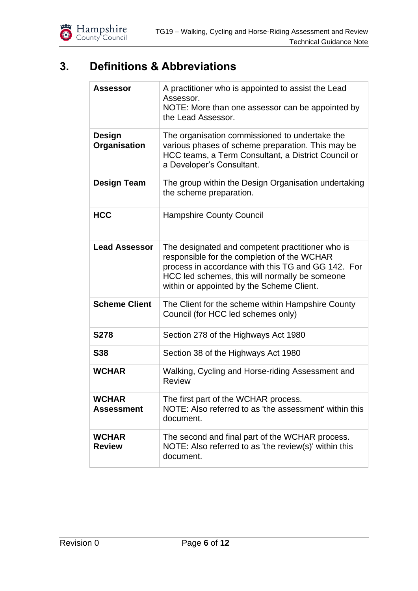

## <span id="page-5-0"></span>**3. Definitions & Abbreviations**

| <b>Assessor</b>                   | A practitioner who is appointed to assist the Lead<br>Assessor.<br>NOTE: More than one assessor can be appointed by<br>the Lead Assessor.                                                                                                            |  |  |
|-----------------------------------|------------------------------------------------------------------------------------------------------------------------------------------------------------------------------------------------------------------------------------------------------|--|--|
| <b>Design</b><br>Organisation     | The organisation commissioned to undertake the<br>various phases of scheme preparation. This may be<br>HCC teams, a Term Consultant, a District Council or<br>a Developer's Consultant.                                                              |  |  |
| <b>Design Team</b>                | The group within the Design Organisation undertaking<br>the scheme preparation.                                                                                                                                                                      |  |  |
| <b>HCC</b>                        | <b>Hampshire County Council</b>                                                                                                                                                                                                                      |  |  |
| <b>Lead Assessor</b>              | The designated and competent practitioner who is<br>responsible for the completion of the WCHAR<br>process in accordance with this TG and GG 142. For<br>HCC led schemes, this will normally be someone<br>within or appointed by the Scheme Client. |  |  |
| <b>Scheme Client</b>              | The Client for the scheme within Hampshire County<br>Council (for HCC led schemes only)                                                                                                                                                              |  |  |
| <b>S278</b>                       | Section 278 of the Highways Act 1980                                                                                                                                                                                                                 |  |  |
| <b>S38</b>                        | Section 38 of the Highways Act 1980                                                                                                                                                                                                                  |  |  |
| <b>WCHAR</b>                      | Walking, Cycling and Horse-riding Assessment and<br>Review                                                                                                                                                                                           |  |  |
| <b>WCHAR</b><br><b>Assessment</b> | The first part of the WCHAR process.<br>NOTE: Also referred to as 'the assessment' within this<br>document.                                                                                                                                          |  |  |
| <b>WCHAR</b><br><b>Review</b>     | The second and final part of the WCHAR process.<br>NOTE: Also referred to as 'the review(s)' within this<br>document.                                                                                                                                |  |  |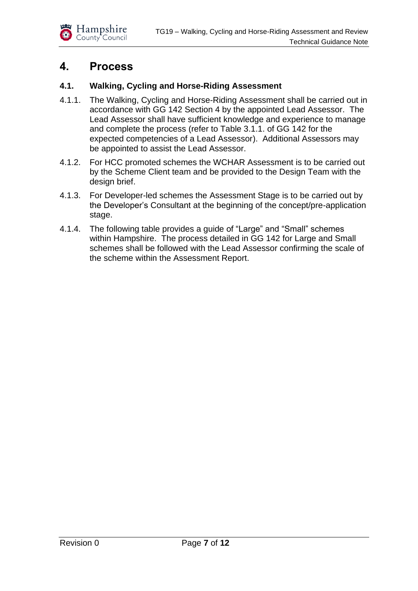

### <span id="page-6-0"></span>**4. Process**

#### <span id="page-6-1"></span>**4.1. Walking, Cycling and Horse-Riding Assessment**

- 4.1.1. The Walking, Cycling and Horse-Riding Assessment shall be carried out in accordance with GG 142 Section 4 by the appointed Lead Assessor. The Lead Assessor shall have sufficient knowledge and experience to manage and complete the process (refer to Table 3.1.1. of GG 142 for the expected competencies of a Lead Assessor). Additional Assessors may be appointed to assist the Lead Assessor.
- 4.1.2. For HCC promoted schemes the WCHAR Assessment is to be carried out by the Scheme Client team and be provided to the Design Team with the design brief.
- 4.1.3. For Developer-led schemes the Assessment Stage is to be carried out by the Developer's Consultant at the beginning of the concept/pre-application stage.
- 4.1.4. The following table provides a guide of "Large" and "Small" schemes within Hampshire. The process detailed in GG 142 for Large and Small schemes shall be followed with the Lead Assessor confirming the scale of the scheme within the Assessment Report.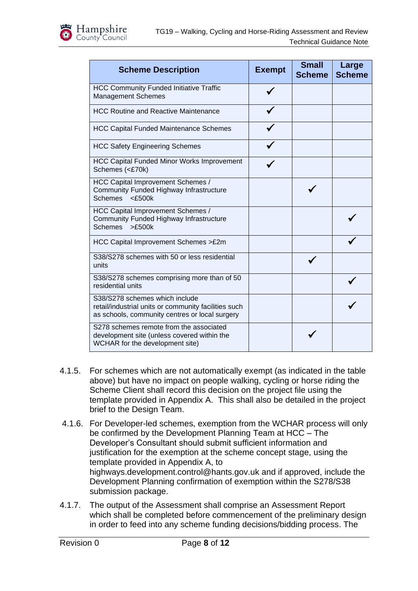

| <b>Scheme Description</b>                                                                                                                | <b>Exempt</b> | <b>Small</b><br><b>Scheme</b> | Large<br><b>Scheme</b> |
|------------------------------------------------------------------------------------------------------------------------------------------|---------------|-------------------------------|------------------------|
| <b>HCC Community Funded Initiative Traffic</b><br><b>Management Schemes</b>                                                              |               |                               |                        |
| <b>HCC Routine and Reactive Maintenance</b>                                                                                              |               |                               |                        |
| <b>HCC Capital Funded Maintenance Schemes</b>                                                                                            |               |                               |                        |
| <b>HCC Safety Engineering Schemes</b>                                                                                                    |               |                               |                        |
| <b>HCC Capital Funded Minor Works Improvement</b><br>Schemes (<£70k)                                                                     |               |                               |                        |
| HCC Capital Improvement Schemes /<br>Community Funded Highway Infrastructure<br><b>Schemes</b><br>$<$ £500 $k$                           |               |                               |                        |
| HCC Capital Improvement Schemes /<br>Community Funded Highway Infrastructure<br>>£500k<br><b>Schemes</b>                                 |               |                               |                        |
| HCC Capital Improvement Schemes >£2m                                                                                                     |               |                               |                        |
| S38/S278 schemes with 50 or less residential<br>units                                                                                    |               |                               |                        |
| S38/S278 schemes comprising more than of 50<br>residential units                                                                         |               |                               |                        |
| S38/S278 schemes which include<br>retail/industrial units or community facilities such<br>as schools, community centres or local surgery |               |                               |                        |
| S278 schemes remote from the associated<br>development site (unless covered within the<br>WCHAR for the development site)                |               |                               |                        |

- 4.1.5. For schemes which are not automatically exempt (as indicated in the table above) but have no impact on people walking, cycling or horse riding the Scheme Client shall record this decision on the project file using the template provided in Appendix A. This shall also be detailed in the project brief to the Design Team.
- 4.1.6. For Developer-led schemes, exemption from the WCHAR process will only be confirmed by the Development Planning Team at HCC – The Developer's Consultant should submit sufficient information and justification for the exemption at the scheme concept stage, using the template provided in Appendix A, to highways.development.control@hants.gov.uk and if approved, include the Development Planning confirmation of exemption within the S278/S38 submission package.
- 4.1.7. The output of the Assessment shall comprise an Assessment Report which shall be completed before commencement of the preliminary design in order to feed into any scheme funding decisions/bidding process. The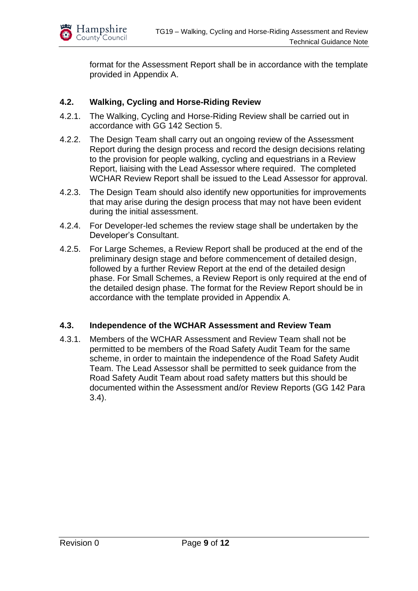

format for the Assessment Report shall be in accordance with the template provided in Appendix A.

#### <span id="page-8-0"></span>**4.2. Walking, Cycling and Horse-Riding Review**

- 4.2.1. The Walking, Cycling and Horse-Riding Review shall be carried out in accordance with GG 142 Section 5.
- 4.2.2. The Design Team shall carry out an ongoing review of the Assessment Report during the design process and record the design decisions relating to the provision for people walking, cycling and equestrians in a Review Report, liaising with the Lead Assessor where required. The completed WCHAR Review Report shall be issued to the Lead Assessor for approval.
- 4.2.3. The Design Team should also identify new opportunities for improvements that may arise during the design process that may not have been evident during the initial assessment.
- 4.2.4. For Developer-led schemes the review stage shall be undertaken by the Developer's Consultant.
- 4.2.5. For Large Schemes, a Review Report shall be produced at the end of the preliminary design stage and before commencement of detailed design, followed by a further Review Report at the end of the detailed design phase. For Small Schemes, a Review Report is only required at the end of the detailed design phase. The format for the Review Report should be in accordance with the template provided in Appendix A.

#### <span id="page-8-1"></span>**4.3. Independence of the WCHAR Assessment and Review Team**

4.3.1. Members of the WCHAR Assessment and Review Team shall not be permitted to be members of the Road Safety Audit Team for the same scheme, in order to maintain the independence of the Road Safety Audit Team. The Lead Assessor shall be permitted to seek guidance from the Road Safety Audit Team about road safety matters but this should be documented within the Assessment and/or Review Reports (GG 142 Para 3.4).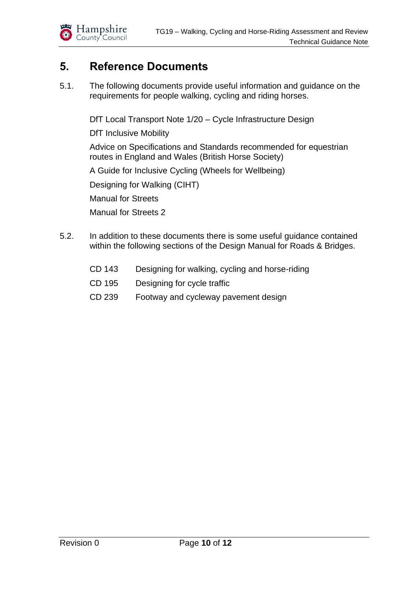

## <span id="page-9-0"></span>**5. Reference Documents**

5.1. The following documents provide useful information and guidance on the requirements for people walking, cycling and riding horses.

DfT Local Transport Note 1/20 – Cycle Infrastructure Design

DfT Inclusive Mobility

Advice on Specifications and Standards recommended for equestrian routes in England and Wales (British Horse Society)

A Guide for Inclusive Cycling (Wheels for Wellbeing)

Designing for Walking (CIHT)

Manual for Streets

Manual for Streets 2

- 5.2. In addition to these documents there is some useful guidance contained within the following sections of the Design Manual for Roads & Bridges.
	- CD 143 Designing for walking, cycling and horse-riding
	- CD 195 Designing for cycle traffic
	- CD 239 Footway and cycleway pavement design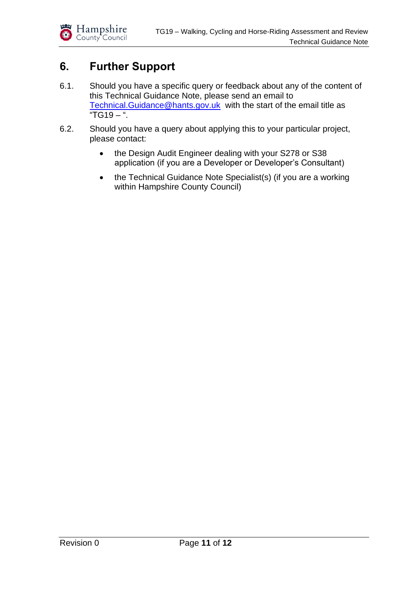

## <span id="page-10-0"></span>**6. Further Support**

- 6.1. Should you have a specific query or feedback about any of the content of this Technical Guidance Note, please send an email to [Technical.Guidance@hants.gov.uk](mailto:Technical.Guidance@hants.gov.uk) with the start of the email title as "TG19 – ".
- 6.2. Should you have a query about applying this to your particular project, please contact:
	- the Design Audit Engineer dealing with your S278 or S38 application (if you are a Developer or Developer's Consultant)
	- the Technical Guidance Note Specialist(s) (if you are a working within Hampshire County Council)